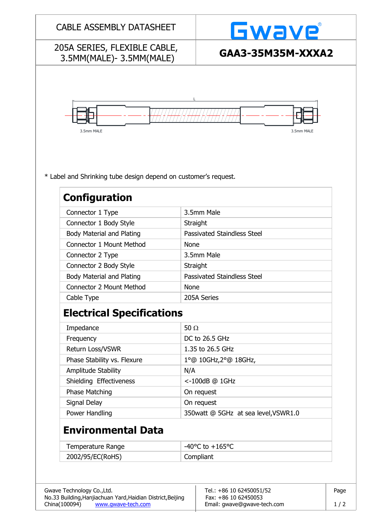| <b>CABLE ASSEMBLY DATASHEET</b>                                                         |             | Gwave                                |  |  |
|-----------------------------------------------------------------------------------------|-------------|--------------------------------------|--|--|
| 205A SERIES, FLEXIBLE CABLE,<br>3.5MM(MALE)-3.5MM(MALE)                                 |             | GAA3-35M35M-XXXA2                    |  |  |
| 3.5mm MALE                                                                              |             | 3.5mm MALE                           |  |  |
| * Label and Shrinking tube design depend on customer's request.<br><b>Configuration</b> |             |                                      |  |  |
| Connector 1 Type                                                                        |             | 3.5mm Male                           |  |  |
| Connector 1 Body Style                                                                  |             | Straight                             |  |  |
| <b>Body Material and Plating</b>                                                        |             | <b>Passivated Staindless Steel</b>   |  |  |
| <b>Connector 1 Mount Method</b>                                                         |             | <b>None</b>                          |  |  |
| Connector 2 Type                                                                        |             | 3.5mm Male                           |  |  |
| Connector 2 Body Style                                                                  |             | Straight                             |  |  |
| <b>Body Material and Plating</b>                                                        |             | <b>Passivated Staindless Steel</b>   |  |  |
| <b>Connector 2 Mount Method</b>                                                         |             | <b>None</b>                          |  |  |
| Cable Type                                                                              |             | 205A Series                          |  |  |
| <b>Electrical Specifications</b>                                                        |             |                                      |  |  |
| Impedance                                                                               | 50 $\Omega$ |                                      |  |  |
| Frequency                                                                               |             | DC to 26.5 GHz                       |  |  |
| Return Loss/VSWR                                                                        |             | 1.35 to 26.5 GHz                     |  |  |
| Phase Stability vs. Flexure                                                             |             | 1°@ 10GHz, 2°@ 18GHz,                |  |  |
| Amplitude Stability                                                                     |             | N/A                                  |  |  |
| Shielding Effectiveness                                                                 |             | <-100dB @ 1GHz                       |  |  |
| Phase Matching                                                                          |             | On request                           |  |  |
| Signal Delay                                                                            |             | On request                           |  |  |
| Power Handling                                                                          |             | 350watt @ 5GHz at sea level, VSWR1.0 |  |  |
| <b>Environmental Data</b>                                                               |             |                                      |  |  |
| Temperature Range                                                                       |             | $-40^{\circ}$ C to $+165^{\circ}$ C  |  |  |
| 2002/95/EC(RoHS)                                                                        |             | Compliant                            |  |  |
|                                                                                         |             |                                      |  |  |
|                                                                                         |             |                                      |  |  |